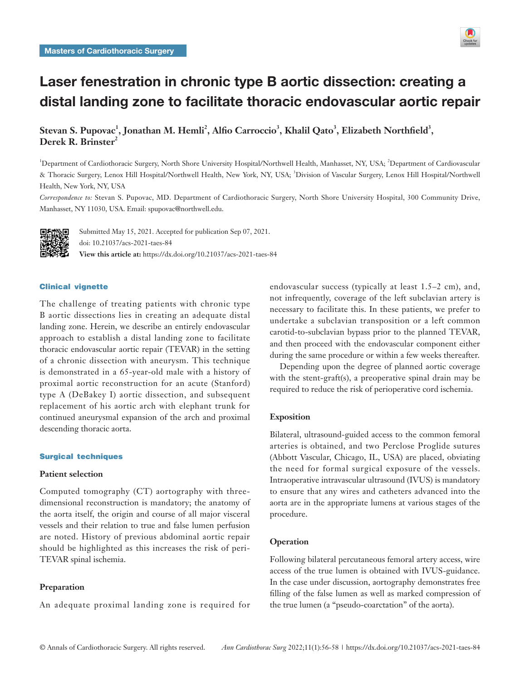

# Laser fenestration in chronic type B aortic dissection: creating a distal landing zone to facilitate thoracic endovascular aortic repair

Stevan S. Pupovac<sup>1</sup>, Jonathan M. Hemli<sup>2</sup>, Alfio Carroccio<sup>3</sup>, Khalil Qato<sup>3</sup>, Elizabeth Northfield<sup>3</sup>, **Derek R. Brinster<sup>2</sup>**

<sup>1</sup>Department of Cardiothoracic Surgery, North Shore University Hospital/Northwell Health, Manhasset, NY, USA; <sup>2</sup>Department of Cardiovascular & Thoracic Surgery, Lenox Hill Hospital/Northwell Health, New York, NY, USA; 3Division of Vascular Surgery, Lenox Hill Hospital/Northwell Health, New York, NY, USA

*Correspondence to:* Stevan S. Pupovac, MD. Department of Cardiothoracic Surgery, North Shore University Hospital, 300 Community Drive, Manhasset, NY 11030, USA. Email: spupovac@northwell.edu.



Submitted May 15, 2021. Accepted for publication Sep 07, 2021. doi: 10.21037/acs-2021-taes-84 **View this article at:** https://dx.doi.org/10.21037/acs-2021-taes-84

# Clinical vignette

The challenge of treating patients with chronic type B aortic dissections lies in creating an adequate distal landing zone. Herein, we describe an entirely endovascular approach to establish a distal landing zone to facilitate thoracic endovascular aortic repair (TEVAR) in the setting of a chronic dissection with aneurysm. This technique is demonstrated in a 65-year-old male with a history of proximal aortic reconstruction for an acute (Stanford) type A (DeBakey I) aortic dissection, and subsequent replacement of his aortic arch with elephant trunk for continued aneurysmal expansion of the arch and proximal descending thoracic aorta.

#### Surgical techniques

## **Patient selection**

Computed tomography (CT) aortography with threedimensional reconstruction is mandatory; the anatomy of the aorta itself, the origin and course of all major visceral vessels and their relation to true and false lumen perfusion are noted. History of previous abdominal aortic repair should be highlighted as this increases the risk of peri-TEVAR spinal ischemia.

## **Preparation**

An adequate proximal landing zone is required for

endovascular success (typically at least 1.5–2 cm), and, not infrequently, coverage of the left subclavian artery is necessary to facilitate this. In these patients, we prefer to undertake a subclavian transposition or a left common carotid-to-subclavian bypass prior to the planned TEVAR, and then proceed with the endovascular component either during the same procedure or within a few weeks thereafter.

Depending upon the degree of planned aortic coverage with the stent-graft(s), a preoperative spinal drain may be required to reduce the risk of perioperative cord ischemia.

### **Exposition**

Bilateral, ultrasound-guided access to the common femoral arteries is obtained, and two Perclose Proglide sutures (Abbott Vascular, Chicago, IL, USA) are placed, obviating the need for formal surgical exposure of the vessels. Intraoperative intravascular ultrasound (IVUS) is mandatory to ensure that any wires and catheters advanced into the aorta are in the appropriate lumens at various stages of the procedure.

### **Operation**

Following bilateral percutaneous femoral artery access, wire access of the true lumen is obtained with IVUS-guidance. In the case under discussion, aortography demonstrates free filling of the false lumen as well as marked compression of the true lumen (a "pseudo-coarctation" of the aorta).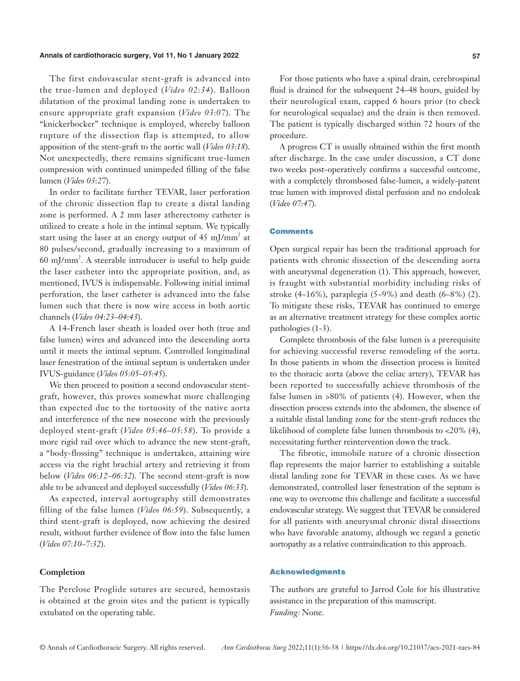### **Annals of cardiothoracic surgery, Vol 11, No 1 January 2022 57**

The first endovascular stent-graft is advanced into the true-lumen and deployed (*Video 02*:*34*). Balloon dilatation of the proximal landing zone is undertaken to ensure appropriate graft expansion (*Video 03*:*07*). The "knickerbocker" technique is employed, whereby balloon rupture of the dissection flap is attempted, to allow apposition of the stent-graft to the aortic wall (*Video 03*:*18*). Not unexpectedly, there remains significant true-lumen compression with continued unimpeded filling of the false lumen (*Video 03*:*27*).

In order to facilitate further TEVAR, laser perforation of the chronic dissection flap to create a distal landing zone is performed. A 2 mm laser atherectomy catheter is utilized to create a hole in the intimal septum. We typically start using the laser at an energy output of 45 mJ/mm<sup>2</sup> at 80 pulses/second, gradually increasing to a maximum of 60 mJ/mm<sup>2</sup>. A steerable introducer is useful to help guide the laser catheter into the appropriate position, and, as mentioned, IVUS is indispensable. Following initial intimal perforation, the laser catheter is advanced into the false lumen such that there is now wire access in both aortic channels (*Video 04*:*23*–*04*:*43*).

A 14-French laser sheath is loaded over both (true and false lumen) wires and advanced into the descending aorta until it meets the intimal septum. Controlled longitudinal laser fenestration of the intimal septum is undertaken under IVUS-guidance (*Video 05*:*05*–*05*:*45*).

We then proceed to position a second endovascular stentgraft, however, this proves somewhat more challenging than expected due to the tortuosity of the native aorta and interference of the new nosecone with the previously deployed stent-graft (*Video 05*:*46*–*05*:*58*). To provide a more rigid rail over which to advance the new stent-graft, a "body-flossing" technique is undertaken, attaining wire access via the right brachial artery and retrieving it from below (*Video 06*:*12*–*06*:*32*). The second stent-graft is now able to be advanced and deployed successfully (*Video 06*:*33*).

As expected, interval aortography still demonstrates filling of the false lumen (*Video 06*:*59*). Subsequently, a third stent-graft is deployed, now achieving the desired result, without further evidence of flow into the false lumen (*Video 07*:*10*–*7*:*32*).

# **Completion**

The Perclose Proglide sutures are secured, hemostasis is obtained at the groin sites and the patient is typically extubated on the operating table.

For those patients who have a spinal drain, cerebrospinal fluid is drained for the subsequent 24–48 hours, guided by their neurological exam, capped 6 hours prior (to check for neurological sequalae) and the drain is then removed. The patient is typically discharged within 72 hours of the procedure.

A progress CT is usually obtained within the first month after discharge. In the case under discussion, a CT done two weeks post-operatively confirms a successful outcome, with a completely thrombosed false-lumen, a widely-patent true lumen with improved distal perfusion and no endoleak (*Video 07*:*47*).

# **Comments**

Open surgical repair has been the traditional approach for patients with chronic dissection of the descending aorta with aneurysmal degeneration (1). This approach, however, is fraught with substantial morbidity including risks of stroke (4–16%), paraplegia (5–9%) and death (6–8%) (2). To mitigate these risks, TEVAR has continued to emerge as an alternative treatment strategy for these complex aortic pathologies (1-3).

Complete thrombosis of the false lumen is a prerequisite for achieving successful reverse remodeling of the aorta. In those patients in whom the dissection process is limited to the thoracic aorta (above the celiac artery), TEVAR has been reported to successfully achieve thrombosis of the false lumen in >80% of patients (4). However, when the dissection process extends into the abdomen, the absence of a suitable distal landing zone for the stent-graft reduces the likelihood of complete false lumen thrombosis to <20% (4), necessitating further reintervention down the track.

The fibrotic, immobile nature of a chronic dissection flap represents the major barrier to establishing a suitable distal landing zone for TEVAR in these cases. As we have demonstrated, controlled laser fenestration of the septum is one way to overcome this challenge and facilitate a successful endovascular strategy. We suggest that TEVAR be considered for all patients with aneurysmal chronic distal dissections who have favorable anatomy, although we regard a genetic aortopathy as a relative contraindication to this approach.

# Acknowledgments

The authors are grateful to Jarrod Cole for his illustrative assistance in the preparation of this manuscript. *Funding:* None.